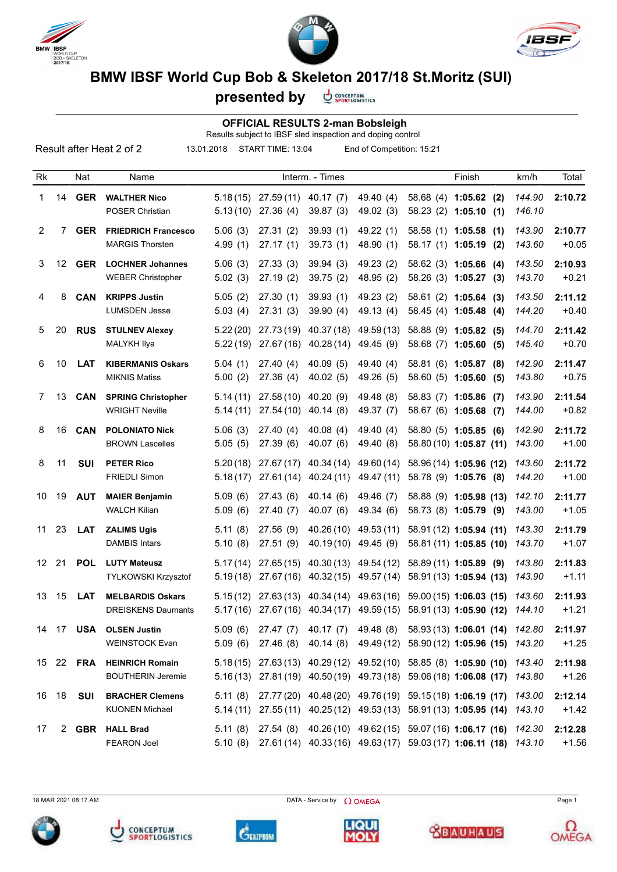





## **BMW IBSF World Cup Bob & Skeleton 2017/18 St.Moritz (SUI)**

**CONCEPTUM**<br>SPORTLOGISTICS **presented by**

## **OFFICIAL RESULTS 2-man Bobsleigh**

Results subject to IBSF sled inspection and doping control

| Result after Heat 2 of 2<br>13.01.2018<br>START TIME: 13:04<br>End of Competition: 15:21 |    |                  |                                                      |                      |                                 |                          |                                     |  |                                                                                                                                                       |                  |                    |
|------------------------------------------------------------------------------------------|----|------------------|------------------------------------------------------|----------------------|---------------------------------|--------------------------|-------------------------------------|--|-------------------------------------------------------------------------------------------------------------------------------------------------------|------------------|--------------------|
| Rk                                                                                       |    | Nat              | Name                                                 |                      |                                 | Interm. - Times          |                                     |  | Finish                                                                                                                                                | km/h             | Total              |
| 1                                                                                        | 14 | <b>GER</b>       | <b>WALTHER Nico</b><br><b>POSER Christian</b>        | 5.18(15)<br>5.13(10) | 27.59(11)<br>27.36(4)           | 40.17(7)<br>39.87(3)     | 49.40 (4)<br>49.02 (3)              |  | 58.68 (4) 1:05.62 (2)<br>$58.23(2)$ 1:05.10 (1)                                                                                                       | 144.90<br>146.10 | 2:10.72            |
| $\overline{2}$                                                                           | 7  | <b>GER</b>       | <b>FRIEDRICH Francesco</b><br><b>MARGIS Thorsten</b> | 5.06(3)<br>4.99(1)   | 27.31(2)<br>27.17(1)            | 39.93(1)<br>39.73(1)     | 49.22 (1)<br>48.90 (1)              |  | 58.58 (1) 1:05.58 (1)<br>58.17 (1) 1:05.19 (2)                                                                                                        | 143.90<br>143.60 | 2:10.77<br>$+0.05$ |
| 3                                                                                        |    | 12 <b>GER</b>    | <b>LOCHNER Johannes</b><br><b>WEBER Christopher</b>  | 5.06(3)<br>5.02(3)   | 27.33(3)<br>27.19(2)            | 39.94(3)<br>39.75(2)     | 49.23 (2)<br>48.95 (2)              |  | 58.62 (3) 1:05.66 (4)<br>58.26 (3) 1:05.27 (3)                                                                                                        | 143.50<br>143.70 | 2:10.93<br>$+0.21$ |
| 4                                                                                        | 8  | <b>CAN</b>       | <b>KRIPPS Justin</b><br><b>LUMSDEN Jesse</b>         | 5.05(2)<br>5.03(4)   | 27.30(1)<br>27.31(3)            | 39.93(1)<br>39.90(4)     | 49.23 (2)<br>49.13 (4)              |  | $58.61(2)$ 1:05.64 (3)<br>58.45 (4) 1:05.48 (4)                                                                                                       | 143.50<br>144.20 | 2:11.12<br>$+0.40$ |
| 5                                                                                        | 20 | <b>RUS</b>       | <b>STULNEV Alexey</b><br><b>MALYKH Ilya</b>          | 5.22(20)<br>5.22(19) | 27.73(19)<br>27.67(16)          | 40.37 (18)<br>40.28(14)  | 49.59 (13)<br>49.45 (9)             |  | 58.88 (9) 1:05.82 (5)<br>58.68 (7) 1:05.60 (5)                                                                                                        | 144.70<br>145.40 | 2:11.42<br>$+0.70$ |
| 6                                                                                        | 10 | <b>LAT</b>       | <b>KIBERMANIS Oskars</b><br><b>MIKNIS Matiss</b>     | 5.04(1)<br>5.00(2)   | 27.40(4)<br>27.36(4)            | 40.09(5)<br>40.02 (5)    | 49.40 (4)<br>49.26 (5)              |  | 58.81 (6) 1:05.87 (8)<br>58.60 (5) 1:05.60 (5)                                                                                                        | 142.90<br>143.80 | 2:11.47<br>$+0.75$ |
| $\mathbf{7}$                                                                             | 13 | <b>CAN</b>       | <b>SPRING Christopher</b><br><b>WRIGHT Neville</b>   | 5.14(11)<br>5.14(11) | 27.58(10)<br>27.54(10)          | 40.20 (9)<br>40.14(8)    | 49.48 (8)<br>49.37 (7)              |  | 58.83 (7) 1:05.86 (7)<br>58.67 (6) 1:05.68 (7)                                                                                                        | 143.90<br>144.00 | 2:11.54<br>$+0.82$ |
| 8                                                                                        | 16 | CAN              | <b>POLONIATO Nick</b><br><b>BROWN Lascelles</b>      | 5.06(3)<br>5.05(5)   | 27.40(4)<br>27.39(6)            | 40.08(4)<br>40.07(6)     | 49.40 (4)<br>49.40 (8)              |  | 58.80 (5) 1:05.85 (6)<br>58.80 (10) 1:05.87 (11)                                                                                                      | 142.90<br>143.00 | 2:11.72<br>$+1.00$ |
| 8                                                                                        | 11 | <b>SUI</b>       | <b>PETER Rico</b><br><b>FRIEDLI Simon</b>            | 5.20(18)<br>5.18(17) | 27.67(17)<br>27.61(14)          | 40.34 (14)<br>40.24 (11) | 49.60 (14)<br>49.47 (11)            |  | 58.96 (14) 1:05.96 (12)<br>58.78 (9) 1:05.76 (8)                                                                                                      | 143.60<br>144.20 | 2:11.72<br>$+1.00$ |
| 10                                                                                       | 19 | <b>AUT</b>       | <b>MAIER Benjamin</b><br><b>WALCH Kilian</b>         | 5.09(6)<br>5.09(6)   | 27.43(6)<br>27.40 (7)           | 40.14(6)<br>40.07(6)     | 49.46 (7)<br>49.34 (6)              |  | 58.88 (9) 1:05.98 (13)<br>58.73 (8) 1:05.79 (9)                                                                                                       | 142.10<br>143.00 | 2:11.77<br>$+1.05$ |
| 11                                                                                       | 23 | <b>LAT</b>       | <b>ZALIMS Ugis</b><br><b>DAMBIS Intars</b>           | 5.11(8)<br>5.10(8)   | 27.56(9)<br>27.51(9)            | 40.26 (10)<br>40.19(10)  | 49.53 (11)<br>49.45 (9)             |  | 58.91 (12) 1:05.94 (11)<br>58.81 (11) 1:05.85 (10)                                                                                                    | 143.30<br>143.70 | 2:11.79<br>$+1.07$ |
| 12                                                                                       | 21 | <b>POL</b>       | <b>LUTY Mateusz</b><br>TYLKOWSKI Krzysztof           | 5.17(14)<br>5.19(18) | 27.65 (15)<br>27.67(16)         | 40.30 (13)               | 49.54 (12)<br>40.32 (15) 49.57 (14) |  | 58.89 (11) 1:05.89 (9)<br>58.91 (13) 1:05.94 (13)                                                                                                     | 143.80<br>143.90 | 2:11.83<br>$+1.11$ |
| 13                                                                                       | 15 | <b>LAT</b>       | <b>MELBARDIS Oskars</b><br><b>DREISKENS Daumants</b> |                      |                                 |                          |                                     |  | 5.15(12) 27.63(13) 40.34(14) 49.63(16) 59.00(15) 1:06.03 (15) 143.60<br>5.17(16) 27.67(16) 40.34(17) 49.59(15) 58.91(13) 1:05.90 (12) 144.10          |                  | 2:11.93<br>$+1.21$ |
|                                                                                          |    |                  | <b>OLSEN Justin</b><br><b>WEINSTOCK Evan</b>         | 5.09(6)              | 27.47(7)<br>$5.09(6)$ 27.46 (8) | 40.17 (7)<br>40.14 (8)   |                                     |  | 49.48 (8) 58.93 (13) 1:06.01 (14) 142.80<br>49.49 (12) 58.90 (12) 1:05.96 (15) 143.20                                                                 |                  | 2:11.97<br>$+1.25$ |
|                                                                                          |    | 15 22 <b>FRA</b> | <b>HEINRICH Romain</b><br><b>BOUTHERIN Jeremie</b>   |                      |                                 |                          |                                     |  | 5.18 (15) 27.63 (13) 40.29 (12) 49.52 (10) 58.85 (8) 1:05.90 (10)<br>5.16(13) 27.81(19) 40.50(19) 49.73(18) 59.06(18) 1:06.08 (17)                    | 143.40<br>143.80 | 2:11.98<br>$+1.26$ |
| 16                                                                                       | 18 | SUI              | <b>BRACHER Clemens</b><br><b>KUONEN Michael</b>      |                      |                                 |                          |                                     |  | 5.11 (8) 27.77 (20) 40.48 (20) 49.76 (19) 59.15 (18) 1:06.19 (17) 143.00<br>5.14 (11) 27.55 (11) 40.25 (12) 49.53 (13) 58.91 (13) 1:05.95 (14) 143.10 |                  | 2:12.14<br>$+1.42$ |
| 17                                                                                       |    | 2 GBR            | <b>HALL Brad</b><br><b>FEARON Joel</b>               | 5.11(8)              |                                 |                          |                                     |  | 27.54 (8) 40.26 (10) 49.62 (15) 59.07 (16) 1:06.17 (16) 142.30<br>5.10 (8) 27.61 (14) 40.33 (16) 49.63 (17) 59.03 (17) 1:06.11 (18) 143.10            |                  | 2:12.28<br>$+1.56$ |